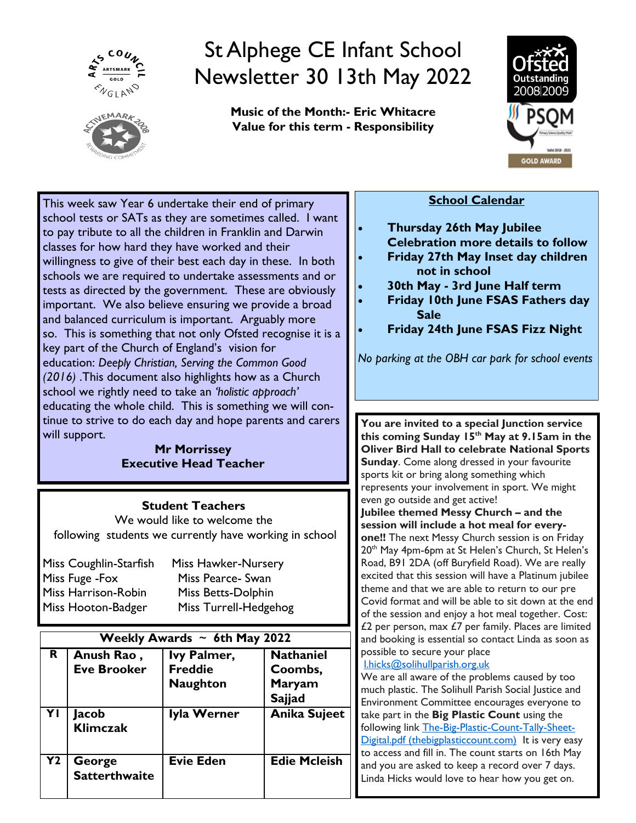



# St Alphege CE Infant School Newsletter 30 13th May 2022

**Music of the Month:- Eric Whitacre Value for this term - Responsibility**



This week saw Year 6 undertake their end of primary school tests or SATs as they are sometimes called. I want to pay tribute to all the children in Franklin and Darwin classes for how hard they have worked and their willingness to give of their best each day in these. In both schools we are required to undertake assessments and or tests as directed by the government. These are obviously important. We also believe ensuring we provide a broad and balanced curriculum is important. Arguably more so. This is something that not only Ofsted recognise it is a key part of the Church of England's vision for education: *Deeply Christian, Serving the Common Good (2016)* .This document also highlights how as a Church school we rightly need to take an *'holistic approach'* educating the whole child. This is something we will continue to strive to do each day and hope parents and carers will support.

#### **Mr Morrissey Executive Head Teacher**

# **Student Teachers**

We would like to welcome the following students we currently have working in school

| Miss Coughlin-Starfish | Miss Hawker-Nursery   |
|------------------------|-----------------------|
| Miss Fuge - Fox        | Miss Pearce- Swan     |
| Miss Harrison-Robin    | Miss Betts-Dolphin    |
| Miss Hooton-Badger     | Miss Turrell-Hedgehog |

| Weekly Awards $\sim$ 6th May 2022 |                                  |                                                  |                                                               |  |  |  |  |
|-----------------------------------|----------------------------------|--------------------------------------------------|---------------------------------------------------------------|--|--|--|--|
| R.                                | Anush Rao,<br><b>Eve Brooker</b> | Ivy Palmer,<br><b>Freddie</b><br><b>Naughton</b> | <b>Nathaniel</b><br>Coombs,<br><b>Maryam</b><br><b>Sajjad</b> |  |  |  |  |
| YI                                | Jacob<br><b>Klimczak</b>         | Iyla Werner                                      | <b>Anika Sujeet</b>                                           |  |  |  |  |
| <b>Y2</b>                         | George<br><b>Satterthwaite</b>   | <b>Evie Eden</b>                                 | <b>Edie Mcleish</b>                                           |  |  |  |  |

## **School Calendar**

- **Thursday 26th May Jubilee Celebration more details to follow**
- **Friday 27th May Inset day children not in school**
- **30th May - 3rd June Half term**
- **Friday 10th June FSAS Fathers day Sale**
- **Friday 24th June FSAS Fizz Night**

*No parking at the OBH car park for school events*

**You are invited to a special Junction service this coming Sunday 15th May at 9.15am in the Oliver Bird Hall to celebrate National Sports Sunday**. Come along dressed in your favourite sports kit or bring along something which represents your involvement in sport. We might even go outside and get active!

**Jubilee themed Messy Church – and the session will include a hot meal for every-**

**one!!** The next Messy Church session is on Friday 20<sup>th</sup> May 4pm-6pm at St Helen's Church, St Helen's Road, B91 2DA (off Buryfield Road). We are really excited that this session will have a Platinum jubilee theme and that we are able to return to our pre Covid format and will be able to sit down at the end of the session and enjoy a hot meal together. Cost:  $£2$  per person, max  $£7$  per family. Places are limited and booking is essential so contact Linda as soon as possible to secure your place

### [l.hicks@solihullparish.org.uk](mailto:l.hicks@solihullparish.org.uk)

We are all aware of the problems caused by too much plastic. The Solihull Parish Social Justice and Environment Committee encourages everyone to take part in the **Big Plastic Count** using the following link [The-Big-Plastic-Count-Tally-Sheet-](https://protect-eu.mimecast.com/s/kWKQCmqE5upJW99tOVP8_?domain=thebigplasticcount.com)[Digital.pdf \(thebigplasticcount.com\)](https://protect-eu.mimecast.com/s/kWKQCmqE5upJW99tOVP8_?domain=thebigplasticcount.com) It is very easy to access and fill in. The count starts on 16th May and you are asked to keep a record over 7 days. Linda Hicks would love to hear how you get on.